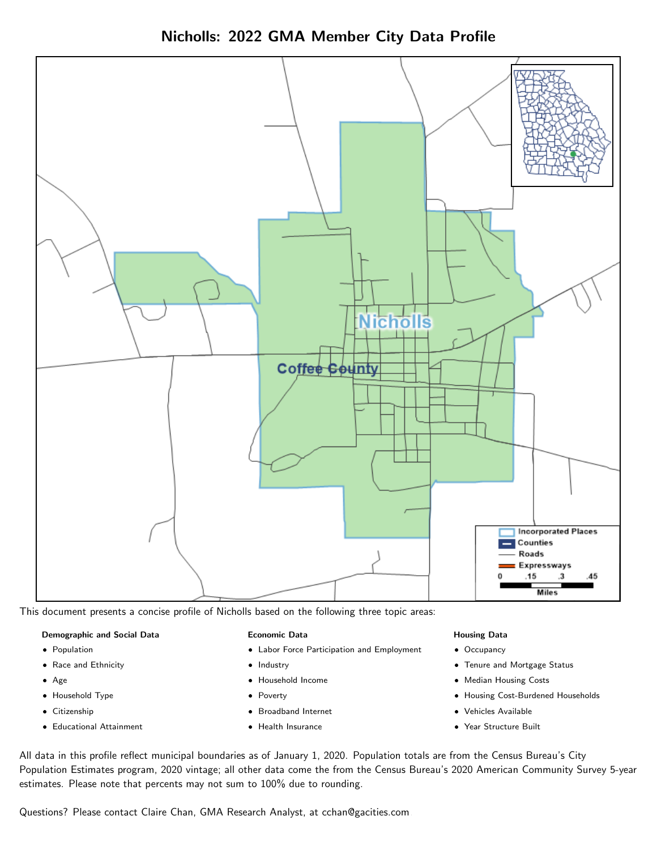Nicholls: 2022 GMA Member City Data Profile



This document presents a concise profile of Nicholls based on the following three topic areas:

#### Demographic and Social Data

- **•** Population
- Race and Ethnicity
- Age
- Household Type
- **Citizenship**
- Educational Attainment

### Economic Data

- Labor Force Participation and Employment
- Industry
- Household Income
- Poverty
- Broadband Internet
- Health Insurance

#### Housing Data

- Occupancy
- Tenure and Mortgage Status
- Median Housing Costs
- Housing Cost-Burdened Households
- Vehicles Available
- Year Structure Built

All data in this profile reflect municipal boundaries as of January 1, 2020. Population totals are from the Census Bureau's City Population Estimates program, 2020 vintage; all other data come the from the Census Bureau's 2020 American Community Survey 5-year estimates. Please note that percents may not sum to 100% due to rounding.

Questions? Please contact Claire Chan, GMA Research Analyst, at [cchan@gacities.com.](mailto:cchan@gacities.com)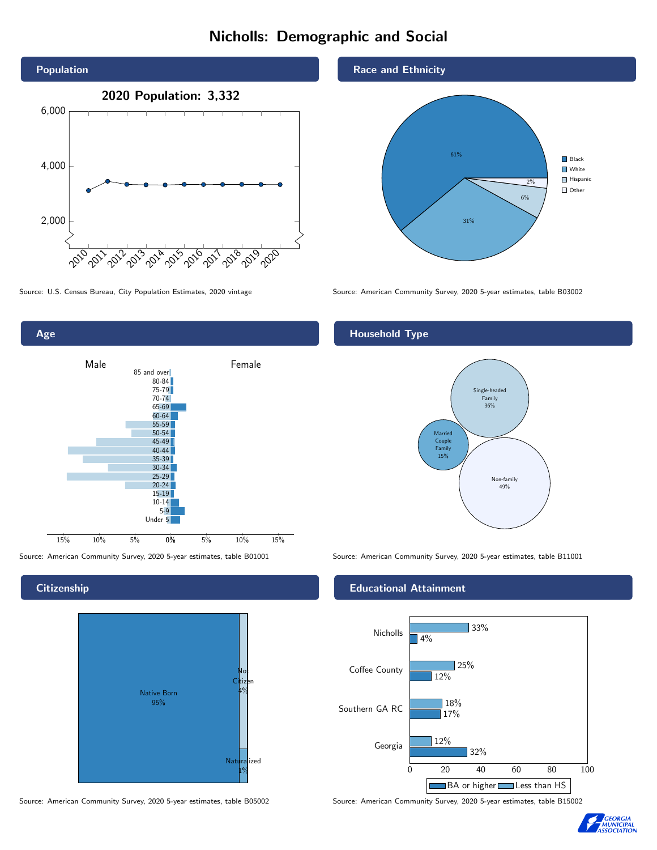## Nicholls: Demographic and Social





## **Citizenship**



Source: American Community Survey, 2020 5-year estimates, table B05002 Source: American Community Survey, 2020 5-year estimates, table B15002

## Race and Ethnicity



Source: U.S. Census Bureau, City Population Estimates, 2020 vintage Source: American Community Survey, 2020 5-year estimates, table B03002

## Household Type



Source: American Community Survey, 2020 5-year estimates, table B01001 Source: American Community Survey, 2020 5-year estimates, table B11001

### Educational Attainment



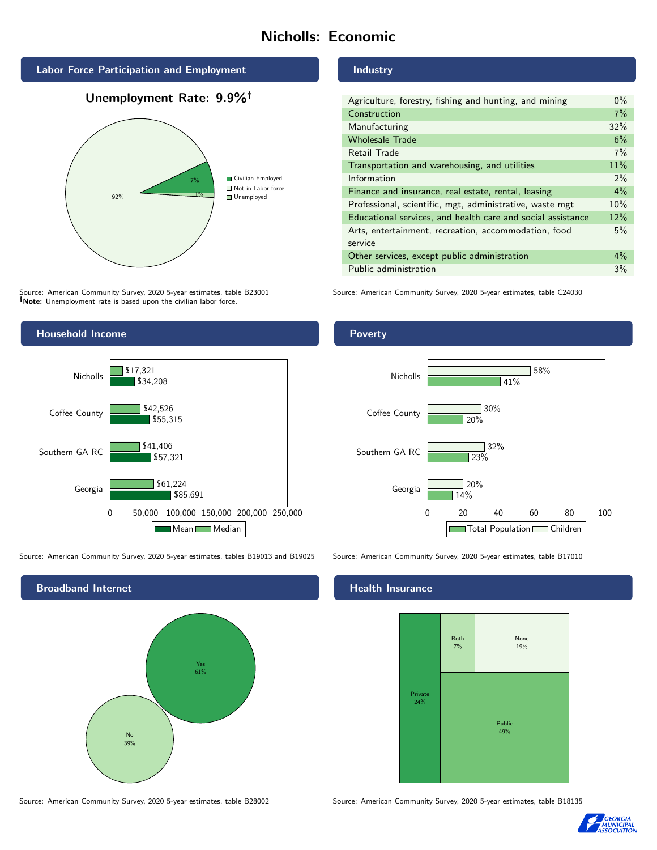## Nicholls: Economic



## Unemployment Rate: 9.9%



Source: American Community Survey, 2020 5-year estimates, table B23001 Note: Unemployment rate is based upon the civilian labor force.



Poverty

| Agriculture, forestry, fishing and hunting, and mining      | $0\%$ |
|-------------------------------------------------------------|-------|
| Construction                                                | 7%    |
| Manufacturing                                               | 32%   |
| <b>Wholesale Trade</b>                                      | 6%    |
| Retail Trade                                                | 7%    |
| Transportation and warehousing, and utilities               | 11%   |
| Information                                                 | $2\%$ |
| Finance and insurance, real estate, rental, leasing         | 4%    |
| Professional, scientific, mgt, administrative, waste mgt    | 10%   |
| Educational services, and health care and social assistance | 12%   |
| Arts, entertainment, recreation, accommodation, food        | 5%    |
| service                                                     |       |
| Other services, except public administration                | $4\%$ |
| Public administration                                       | 3%    |

Source: American Community Survey, 2020 5-year estimates, table C24030



Source: American Community Survey, 2020 5-year estimates, tables B19013 and B19025 Source: American Community Survey, 2020 5-year estimates, table B17010





## **Health Insurance**



Source: American Community Survey, 2020 5-year estimates, table B28002 Source: American Community Survey, 2020 5-year estimates, table B18135